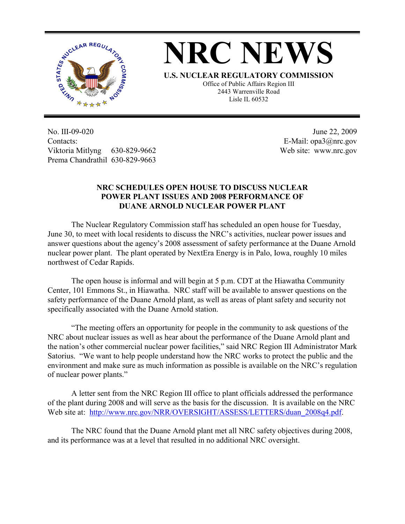

## **NRC NEWS**

**U.S. NUCLEAR REGULATORY COMMISSION** Office of Public Affairs Region III 2443 Warrenville Road Lisle IL 60532

No. III-09-020 Contacts: Viktoria Mitlyng 630-829-9662 Prema Chandrathil 630-829-9663

 June 22, 2009 E-Mail: opa3@nrc.gov Web site: www.nrc.gov

## **NRC SCHEDULES OPEN HOUSE TO DISCUSS NUCLEAR POWER PLANT ISSUES AND 2008 PERFORMANCE OF DUANE ARNOLD NUCLEAR POWER PLANT**

 The Nuclear Regulatory Commission staff has scheduled an open house for Tuesday, June 30, to meet with local residents to discuss the NRC's activities, nuclear power issues and answer questions about the agency's 2008 assessment of safety performance at the Duane Arnold nuclear power plant. The plant operated by NextEra Energy is in Palo, Iowa, roughly 10 miles northwest of Cedar Rapids.

 The open house is informal and will begin at 5 p.m. CDT at the Hiawatha Community Center, 101 Emmons St., in Hiawatha. NRC staff will be available to answer questions on the safety performance of the Duane Arnold plant, as well as areas of plant safety and security not specifically associated with the Duane Arnold station.

"The meeting offers an opportunity for people in the community to ask questions of the NRC about nuclear issues as well as hear about the performance of the Duane Arnold plant and the nation's other commercial nuclear power facilities," said NRC Region III Administrator Mark Satorius. "We want to help people understand how the NRC works to protect the public and the environment and make sure as much information as possible is available on the NRC's regulation of nuclear power plants."

A letter sent from the NRC Region III office to plant officials addressed the performance of the plant during 2008 and will serve as the basis for the discussion. It is available on the NRC Web site at: http://www.nrc.gov/NRR/OVERSIGHT/ASSESS/LETTERS/duan\_2008q4.pdf.

The NRC found that the Duane Arnold plant met all NRC safety objectives during 2008, and its performance was at a level that resulted in no additional NRC oversight.